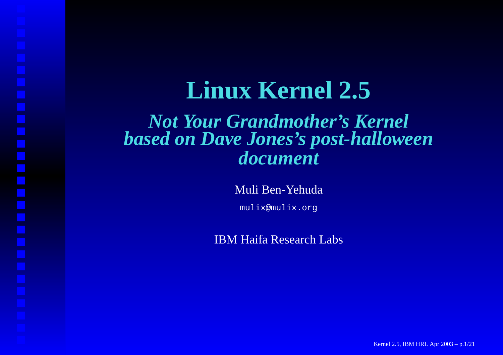#### **Linux Kernel 2.5**

#### *Not Your Grandmother's Kernel based on Dave Jones's post-halloween document*

Muli Ben-Yehuda

mulix@mulix.org

IBM Haifa Research Labs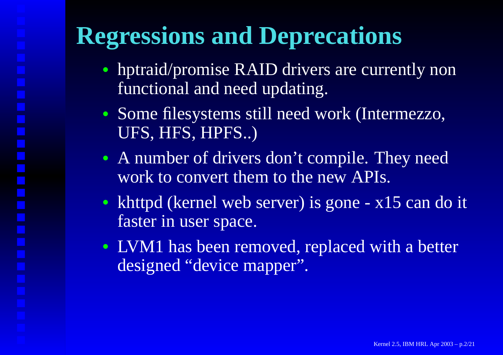# **Regressions and Deprecations**

- hptraid/promise RAID drivers are currently non functional and need updating.
- Some filesystems still need work (Intermezzo, UFS, HFS, HPFS..)
- A number of drivers don't compile. They need work to convert them to the new APIs.
- khttpd (kernel web server) is gone x15 can do it faster in user space.
- LVM1 has been removed, replaced with <sup>a</sup> better designed "device mapper".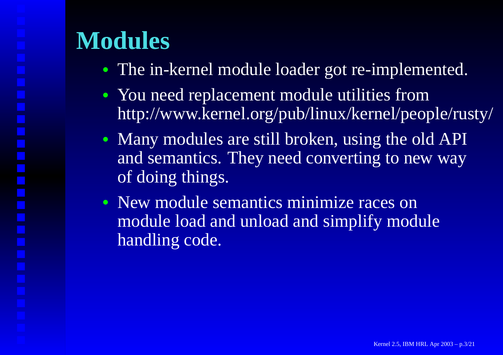#### **Modules**

- The in-kernel module loader go<sup>t</sup> re-implemented.
- You need replacement module utilities from http://www.kernel.org/pub/linux/kernel/people/rusty/
- Many modules are still broken, using the old API and semantics. They need converting to new way of doing things.
- New module semantics minimize races on module load and unload and simplify module handling code.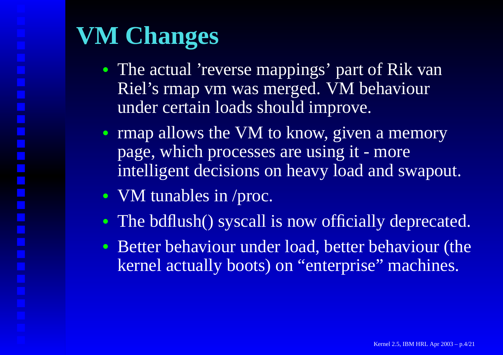# **VM Changes**

- The actual 'reverse mappings' par<sup>t</sup> of Rik van Riel's rmap vm was merged. VM behaviour under certain loads should improve.
- rmap allows the VM to know, given a memory page, which processes are using it - more intelligent decisions on heavy load and swapout.
- VM tunables in /proc.
- The bdflush() syscall is now officially deprecated.
- Better behaviour under load, better behaviour (the kernel actually boots) on "enterprise" machines.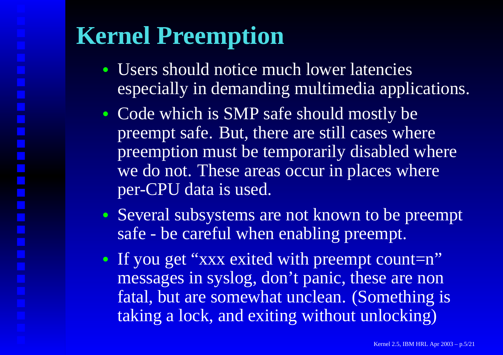# **Kernel Preemption**

- Users should notice much lower latencies especially in demanding multimedia applications.
- Code which is SMP safe should mostly be preemp<sup>t</sup> safe. But, there are still cases where preemption must be temporarily disabled where we do not. These areas occur in places where per-CPU data is used.
- Several subsystems are not known to be preemp<sup>t</sup> safe - be careful when enabling preempt.
- If you get "xxx exited with preempt count=n" messages in syslog, don't panic, these are non fatal, but are somewhat unclean. (Something is taking <sup>a</sup> lock, and exiting without unlocking)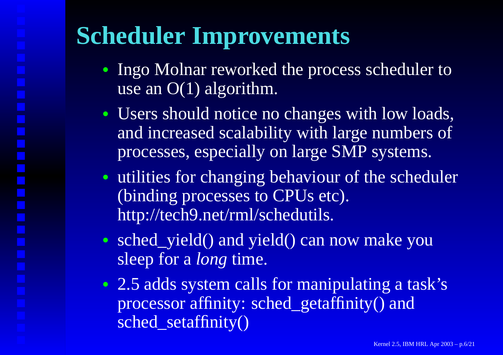# **Scheduler Improvements**

- Ingo Molnar reworked the process scheduler to use an O(1) algorithm.
- Users should notice no changes with low loads, and increased scalability with large numbers of processes, especially on large SMP systems.
- utilities for changing behaviour of the scheduler (binding processes to CPUs etc). http://tech9.net/rml/schedutils.
- sched\_yield() and yield() can now make you sleep for <sup>a</sup> *long* time.
- 2.5 adds system calls for manipulating a task's processor affinity: sched\_getaffinity() and sched\_setaffinity()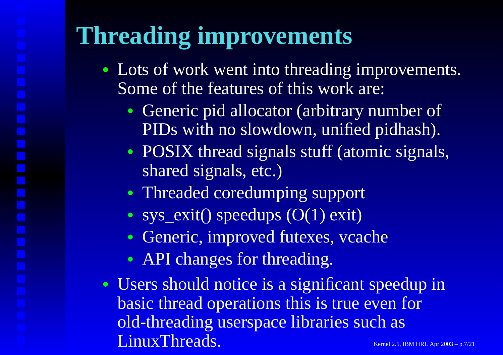# **Threading improvements**

- Lots of work went into threading improvements. Some of the features of this work are:
	- Generic pid allocator (arbitrary number of PIDs with no slowdown, unified pidhash).
	- POSIX thread signals stuff (atomic signals, shared signals, etc.)
	- Threaded coredumping suppor<sup>t</sup>
	- sys\_exit() speedups  $(O(1)$  exit)
	- Generic, improved futexes, vcache
	- API changes for threading.
- Users should notice is <sup>a</sup> significant speedup in basic thread operations this is true even for old-threading userspace libraries such as LinuxThreads.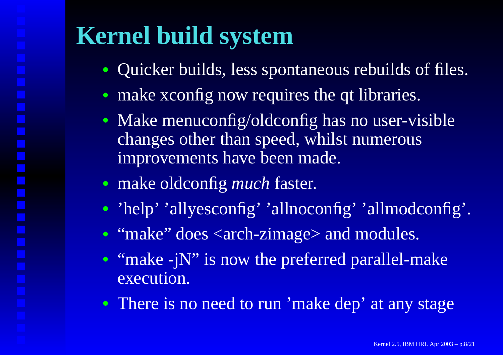### **Kernel build system**

- Quicker builds, less spontaneous rebuilds of files.
- make xconfig now requires the qt libraries.
- Make menuconfig/oldconfig has no user-visible changes other than speed, whilst numerous improvements have been made.
- make oldconfig *much* faster.
- 'help' 'allyesconfig' 'allnoconfig' 'allmodconfig'.
- "make" does <arch-zimage> and modules.
- "make -jN" is now the preferred parallel-make execution.
- There is no need to run 'make dep' at any stage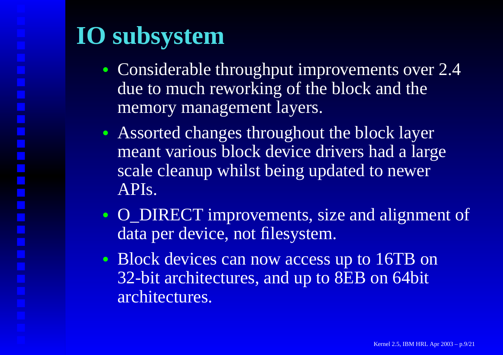# **IO subsystem**

- Considerable throughput improvements over 2.4 due to much reworking of the block and the memory managemen<sup>t</sup> layers.
- Assorted changes throughout the block layer meant various block device drivers had <sup>a</sup> large scale cleanup whilst being updated to newer APIs.
- O\_DIRECT improvements, size and alignment of data per device, not filesystem.
- Block devices can now access up to 16TB on 32-bit architectures, and up to 8EB on 64bit architectures.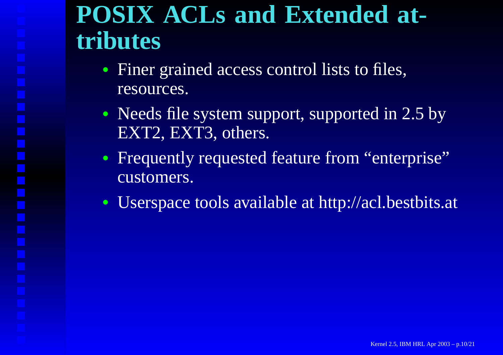#### **POSIX ACLs and Extended attributes**

- Finer grained access control lists to files, resources.
- Needs file system support, supported in 2.5 by EXT2, EXT3, others.
- Frequently requested feature from "enterprise" customers.
- $\bullet$ Userspace tools available at http://acl.bestbits.at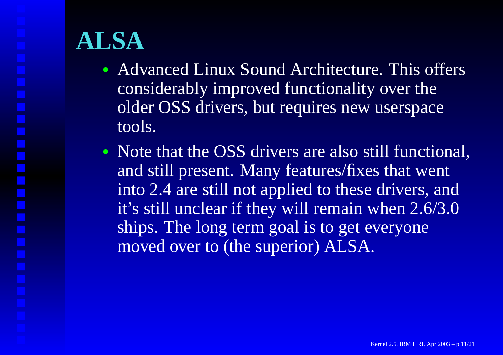#### **ALSA**

- Advanced Linux Sound Architecture. This offers considerably improved functionality over the older OSS drivers, but requires new userspace tools.
- Note that the OSS drivers are also still functional, and still present. Many features/fixes that went into 2.4 are still not applied to these drivers, and it's still unclear if they will remain when 2.6/3.0 ships. The long term goal is to ge<sup>t</sup> everyone moved over to (the superior) ALSA.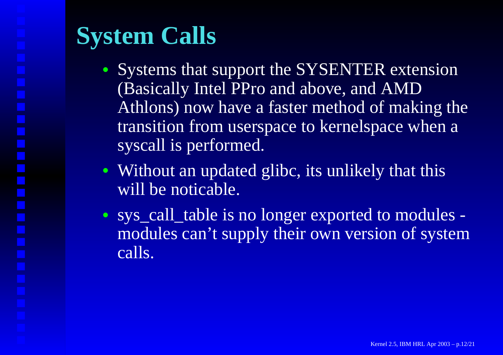# **System Calls**

- Systems that suppor<sup>t</sup> the SYSENTER extension (Basically Intel PPro and above, and AMD Athlons) now have <sup>a</sup> faster method of making the transition from userspace to kernelspace when <sup>a</sup> syscall is performed.
- Without an updated glibc, its unlikely that this will be noticable.
- sys\_call\_table is no longer exported to modules modules can't supply their own version of system calls.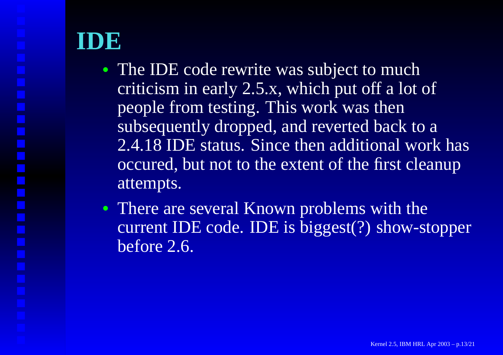#### **IDE**

- The IDE code rewrite was subject to much criticism in early 2.5.x, which pu<sup>t</sup> off <sup>a</sup> lot of people from testing. This work was then subsequently dropped, and reverted back to <sup>a</sup> 2.4.18 IDE status. Since then additional work has occured, but not to the extent of the first cleanup attempts.
- There are several Known problems with the current IDE code. IDE is biggest(?) show-stopper before 2.6.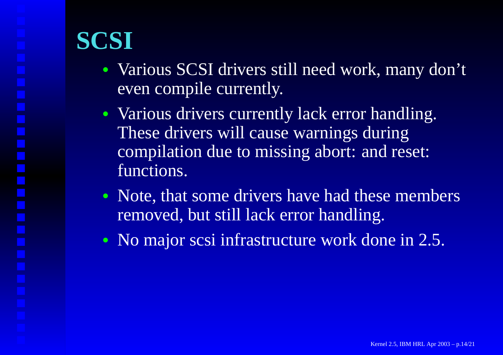### **SCSI**

- Various SCSI drivers still need work, many don't even compile currently.
- Various drivers currently lack error handling. These drivers will cause warnings during compilation due to missing abort: and reset: functions.
- Note, that some drivers have had these members removed, but still lack error handling.
- No major scsi infrastructure work done in 2.5.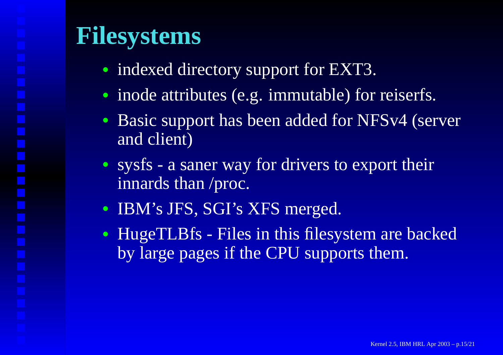#### **Filesystems**

- indexed directory support for EXT3.
- inode attributes (e.g. immutable) for reiserfs.
- Basic suppor<sup>t</sup> has been added for NFSv4 (server and client)
- sysfs a saner way for drivers to export their innards than /proc.
- IBM's JFS, SGI's XFS merged.
- HugeTLBfs Files in this filesystem are backed by large pages if the CPU supports them.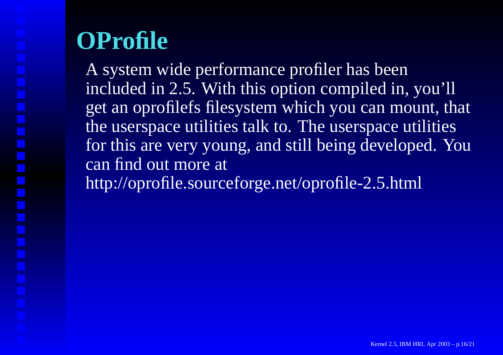#### **OProfile**

A system wide performance profiler has been included in 2.5. With this option compiled in, you'll ge<sup>t</sup> an oprofilefs filesystem which you can mount, that the userspace utilities talk to. The userspace utilities for this are very young, and still being developed. You can find out more at http://oprofile.sourceforge.net/oprofile-2.5.html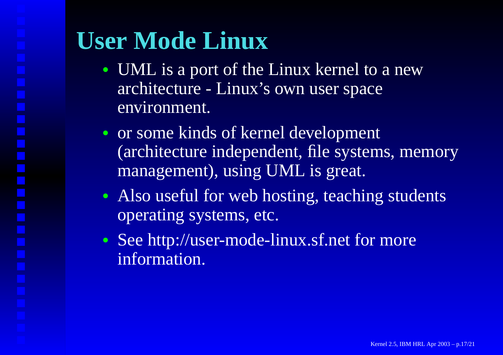# **User Mode Linux**

- UML is a port of the Linux kernel to a new architecture - Linux's own user space environment.
- or some kinds of kernel development (architecture independent, file systems, memory management), using UML is great.
- Also useful for web hosting, teaching students operating systems, etc.
- See http://user-mode-linux.sf.net for more information.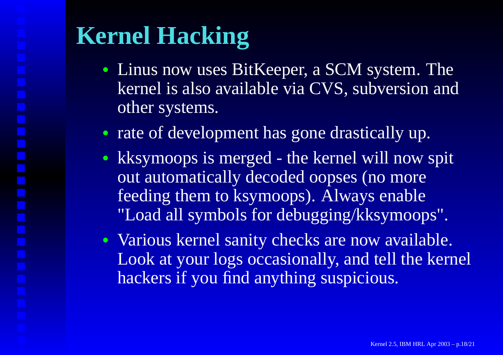# **Kernel Hacking**

- Linus now uses BitKeeper, a SCM system. The kernel is also available via CVS, subversion and other systems.
- rate of development has gone drastically up.
- kksymoops is merged the kernel will now spit out automatically decoded oopses (no more feeding them to ksymoops). Always enable "Load all symbols for debugging/kksymoops".
- Various kernel sanity checks are now available. Look at your logs occasionally, and tell the kernel hackers if you find anything suspicious.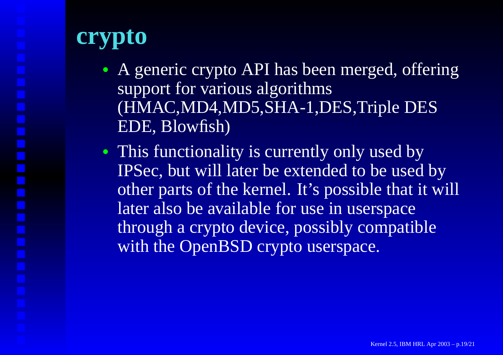#### **crypto**

- A generic crypto API has been merged, offering suppor<sup>t</sup> for various algorithms (HMAC,MD4,MD5,SHA-1,DES,Triple DES EDE, Blowfish)
- This functionality is currently only used by IPSec, but will later be extended to be used by other parts of the kernel. It's possible that it will later also be available for use in userspace through <sup>a</sup> crypto device, possibly compatible with the OpenBSD crypto userspace.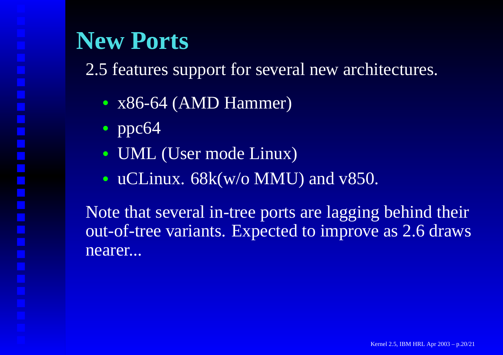#### **New Ports**

2.5 features suppor<sup>t</sup> for several new architectures.

- x86-64 (AMD Hammer)
- ppc64
- UML (User mode Linux)
- uCLinux. 68k(w/o MMU) and v850.

Note that several in-tree ports are lagging behind their out-of-tree variants. Expected to improve as 2.6 draws nearer...